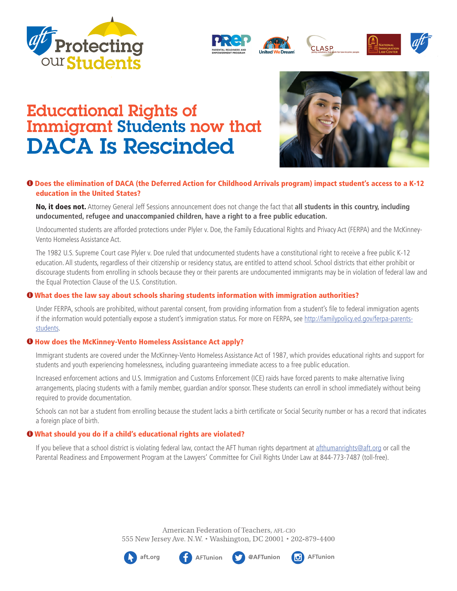



# Educational Rights of Immigrant Students now that DACA Is Rescinded



## **i** Does the elimination of DACA (the Deferred Action for Childhood Arrivals program) impact student's access to a K-12 education in the United States?

No, it does not. Attorney General Jeff Sessions announcement does not change the fact that **all students in this country, including undocumented, refugee and unaccompanied children, have a right to a free public education.**

Undocumented students are afforded protections under Plyler v. Doe, the Family Educational Rights and Privacy Act (FERPA) and the McKinney-Vento Homeless Assistance Act.

The 1982 U.S. Supreme Court case Plyler v. Doe ruled that undocumented students have a constitutional right to receive a free public K-12 education. All students, regardless of their citizenship or residency status, are entitled to attend school. School districts that either prohibit or discourage students from enrolling in schools because they or their parents are undocumented immigrants may be in violation of federal law and the Equal Protection Clause of the U.S. Constitution.

## **O** What does the law say about schools sharing students information with immigration authorities?

Under FERPA, schools are prohibited, without parental consent, from providing information from a student's file to federal immigration agents if the information would potentially expose a student's immigration status. For more on FERPA, see http://familypolicy.ed.gov/ferpa-parentsstudents.

### **O** How does the McKinney-Vento Homeless Assistance Act apply?

Immigrant students are covered under the McKinney-Vento Homeless Assistance Act of 1987, which provides educational rights and support for students and youth experiencing homelessness, including guaranteeing immediate access to a free public education.

Increased enforcement actions and U.S. Immigration and Customs Enforcement (ICE) raids have forced parents to make alternative living arrangements, placing students with a family member, guardian and/or sponsor. These students can enroll in school immediately without being required to provide documentation.

Schools can not bar a student from enrolling because the student lacks a birth certificate or Social Security number or has a record that indicates a foreign place of birth.

### **O** What should you do if a child's educational rights are violated?

If you believe that a school district is violating federal law, contact the AFT human rights department at afthumanrights@aft.org or call the Parental Readiness and Empowerment Program at the Lawyers' Committee for Civil Rights Under Law at 844-773-7487 (toll-free).

> American Federation of Teachers, AFL-CIO 555 New Jersey Ave. N.W. • Washington, DC 20001 • 202-879-4400







@AFTunion